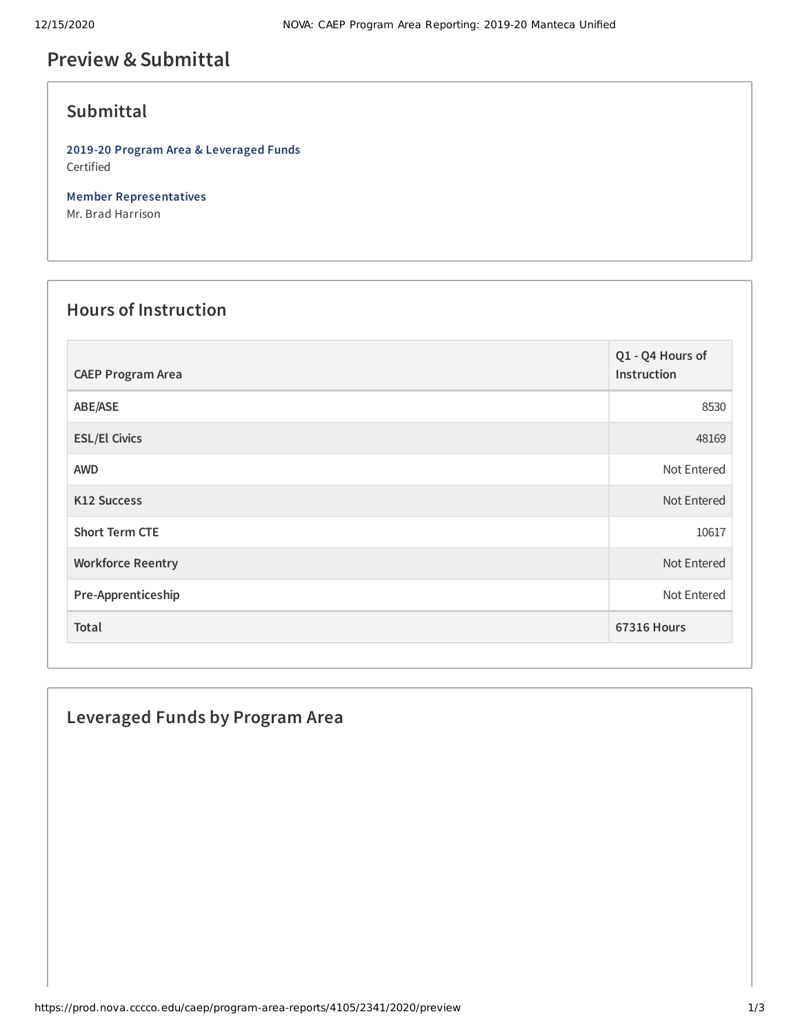# **Preview &Submittal**

## **Submittal**

**2019-20 Program Area & Leveraged Funds** Certified

**Member Representatives** Mr. Brad Harrison

#### **Hours of Instruction**

| <b>CAEP Program Area</b> | Q1 - Q4 Hours of<br>Instruction |
|--------------------------|---------------------------------|
| ABE/ASE                  | 8530                            |
| <b>ESL/El Civics</b>     | 48169                           |
| <b>AWD</b>               | Not Entered                     |
| <b>K12 Success</b>       | Not Entered                     |
| <b>Short Term CTE</b>    | 10617                           |
| <b>Workforce Reentry</b> | Not Entered                     |
| Pre-Apprenticeship       | Not Entered                     |
| Total                    | <b>67316 Hours</b>              |

### **Leveraged Funds by Program Area**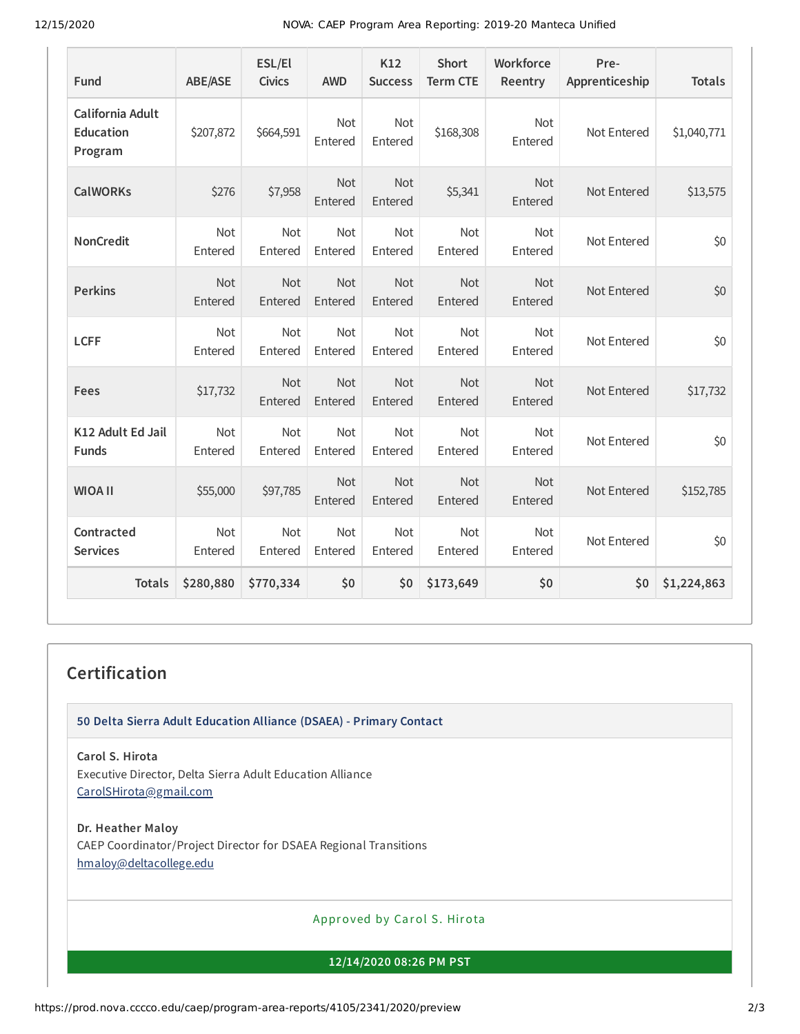12/15/2020 NOVA: CAEP Program Area Reporting: 2019-20 Manteca Unified

| Fund                                            | <b>ABE/ASE</b>        | ESL/El<br><b>Civics</b> | <b>AWD</b>            | K12<br><b>Success</b> | <b>Short</b><br><b>Term CTE</b> | Workforce<br>Reentry  | Pre-<br>Apprenticeship | <b>Totals</b> |
|-------------------------------------------------|-----------------------|-------------------------|-----------------------|-----------------------|---------------------------------|-----------------------|------------------------|---------------|
| California Adult<br><b>Education</b><br>Program | \$207,872             | \$664,591               | <b>Not</b><br>Entered | <b>Not</b><br>Entered | \$168,308                       | <b>Not</b><br>Entered | Not Entered            | \$1,040,771   |
| <b>CalWORKs</b>                                 | \$276                 | \$7,958                 | <b>Not</b><br>Entered | <b>Not</b><br>Entered | \$5,341                         | <b>Not</b><br>Entered | Not Entered            | \$13,575      |
| <b>NonCredit</b>                                | <b>Not</b><br>Entered | Not<br>Entered          | Not<br>Entered        | Not<br>Entered        | Not<br>Entered                  | <b>Not</b><br>Entered | Not Entered            | \$0           |
| <b>Perkins</b>                                  | <b>Not</b><br>Entered | Not<br>Entered          | Not<br>Entered        | Not<br>Entered        | <b>Not</b><br>Entered           | <b>Not</b><br>Entered | Not Entered            | \$0           |
| <b>LCFF</b>                                     | Not<br>Entered        | Not<br>Entered          | Not<br>Entered        | Not<br>Entered        | Not<br>Entered                  | Not<br>Entered        | Not Entered            | \$0           |
| Fees                                            | \$17,732              | Not<br>Entered          | Not<br>Entered        | <b>Not</b><br>Entered | <b>Not</b><br>Entered           | Not<br>Entered        | Not Entered            | \$17,732      |
| K12 Adult Ed Jail<br><b>Funds</b>               | Not<br>Entered        | Not<br>Entered          | <b>Not</b><br>Entered | Not<br>Entered        | Not<br>Entered                  | Not<br>Entered        | Not Entered            | \$0           |
| <b>WIOA II</b>                                  | \$55,000              | \$97,785                | Not<br>Entered        | Not<br>Entered        | Not<br>Entered                  | Not<br>Entered        | Not Entered            | \$152,785     |
| Contracted<br><b>Services</b>                   | Not<br>Entered        | Not<br>Entered          | Not<br>Entered        | Not<br>Entered        | Not<br>Entered                  | Not<br>Entered        | Not Entered            | \$0           |
| <b>Totals</b>                                   | \$280,880             | \$770,334               | \$0                   | \$0                   | \$173,649                       | \$0                   | \$0                    | \$1,224,863   |

## **Certification**

**50 Delta Sierra Adult Education Alliance (DSAEA) - Primary Contact**

**Carol S. Hirota** Executive Director, Delta Sierra Adult Education Alliance [CarolSHirota@gmail.com](mailto:CarolSHirota@gmail.com)

**Dr. Heather Maloy** CAEP Coordinator/Project Director for DSAEA Regional Transitions [hmaloy@deltacollege.edu](mailto:hmaloy@deltacollege.edu)

Approved by Carol S. Hirota

**12/14/2020 08:26 PM PST**